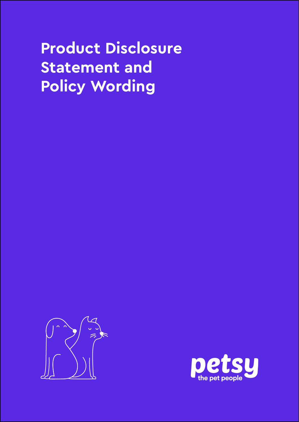# **Product Disclosure Statement and Policy Wording**



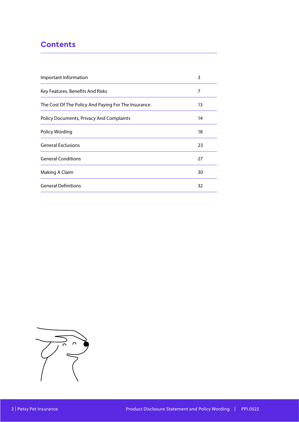#### **Contents**

| Important Information                               | 3  |
|-----------------------------------------------------|----|
| Key Features, Benefits And Risks                    | 7  |
| The Cost Of The Policy And Paying For The Insurance | 13 |
| <b>Policy Documents, Privacy And Complaints</b>     | 14 |
| Policy Wording                                      | 18 |
| <b>General Exclusions</b>                           | 23 |
| <b>General Conditions</b>                           | 27 |
| Making A Claim                                      | 30 |
| <b>General Definitions</b>                          | 32 |

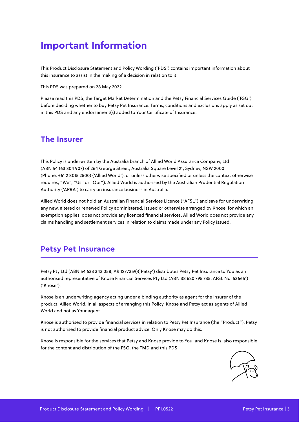## **Important Information**

This Product Disclosure Statement and Policy Wording ('PDS') contains important information about this insurance to assist in the making of a decision in relation to it.

This PDS was prepared on 28 May 2022.

Please read this PDS, the Target Market Determination and the Petsy Financial Services Guide ('FSG') before deciding whether to buy Petsy Pet Insurance. Terms, conditions and exclusions apply as set out in this PDS and any endorsement(s) added to Your Certificate of Insurance.

#### **The Insurer**

This Policy is underwritten by the Australia branch of Allied World Assurance Company, Ltd (ABN 54 163 304 907) of 264 George Street, Australia Square Level 21, Sydney, NSW 2000 (Phone: +61 2 8015 2500) ('Allied World'), or unless otherwise specified or unless the context otherwise requires, "We", "Us" or "Our"). Allied World is authorised by the Australian Prudential Regulation Authority ('APRA') to carry on insurance business in Australia.

Allied World does not hold an Australian Financial Services Licence ("AFSL") and save for underwriting any new, altered or renewed Policy administered, issued or otherwise arranged by Knose, for which an exemption applies, does not provide any licenced financial services. Allied World does not provide any claims handling and settlement services in relation to claims made under any Policy issued.

#### **Petsy Pet Insurance**

Petsy Pty Ltd (ABN 54 633 343 058, AR 1277359)('Petsy') distributes Petsy Pet Insurance to You as an authorised representative of Knose Financial Services Pty Ltd (ABN 38 620 795 735, AFSL No. 536651) ('Knose').

Knose is an underwriting agency acting under a binding authority as agent for the insurer of the product, Allied World. In all aspects of arranging this Policy, Knose and Petsy act as agents of Allied World and not as Your agent.

Knose is authorised to provide financial services in relation to Petsy Pet Insurance (the "Product"). Petsy is not authorised to provide financial product advice. Only Knose may do this.

Knose is responsible for the services that Petsy and Knose provide to You, and Knose is also responsible for the content and distribution of the FSG, the TMD and this PDS.

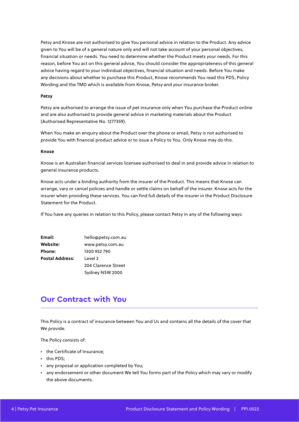Petsy and Knose are not authorised to give You personal advice in relation to the Product. Any advice given to You will be of a general nature only and will not take account of your personal objectives, financial situation or needs. You need to determine whether the Product meets your needs. For this reason, before You act on this general advice, You should consider the appropriateness of this general advice having regard to your individual objectives, financial situation and needs. Before You make any decisions about whether to purchase this Product, Knose recommends You read this PDS, Policy Wording and the TMD which is available from Knose, Petsy and your insurance broker.

#### **Petsy**

Petsy are authorised to arrange the issue of pet insurance only when You purchase the Product online and are also authorised to provide general advice in marketing materials about the Product (Authorised Representative No. 1277359).

When You make an enquiry about the Product over the phone or email, Petsy is not authorised to provide You with financial product advice or to issue a Policy to You. Only Knose may do this.

#### **Knose**

Knose is an Australian financial services licensee authorised to deal in and provide advice in relation to general insurance products.

Knose acts under a binding authority from the insurer of the Product. This means that Knose can arrange, vary or cancel policies and handle or settle claims on behalf of the insurer. Knose acts for the insurer when providing these services. You can find full details of the insurer in the Product Disclosure Statement for the Product.

If You have any queries in relation to this Policy, please contact Petsy in any of the following ways:

| Email:                 | hello@petsy.com.au  |
|------------------------|---------------------|
| Website:               | www.petsy.com.au    |
| Phone:                 | 1300 952 790        |
| <b>Postal Address:</b> | Level 2             |
|                        | 204 Clarence Street |
|                        | Sydney NSW 2000     |

#### **Our Contract with You**

This Policy is a contract of insurance between You and Us and contains all the details of the cover that We provide.

The Policy consists of:

- the Certificate of Insurance;
- this PDS;
- any proposal or application completed by You;
- any endorsement or other document We tell You forms part of the Policy which may vary or modify the above documents.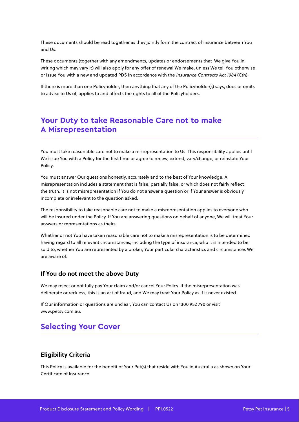These documents should be read together as they jointly form the contract of insurance between You and Us.

These documents (together with any amendments, updates or endorsements that We give You in writing which may vary it) will also apply for any offer of renewal We make, unless We tell You otherwise or issue You with a new and updated PDS in accordance with the Insurance Contracts Act 1984 (Cth).

If there is more than one Policyholder, then anything that any of the Policyholder(s) says, does or omits to advise to Us of, applies to and affects the rights to all of the Policyholders.

#### **Your Duty to take Reasonable Care not to make A Misrepresentation**

You must take reasonable care not to make a misrepresentation to Us. This responsibility applies until We issue You with a Policy for the first time or agree to renew, extend, vary/change, or reinstate Your Policy.

You must answer Our questions honestly, accurately and to the best of Your knowledge. A misrepresentation includes a statement that is false, partially false, or which does not fairly reflect the truth. It is not misrepresentation if You do not answer a question or if Your answer is obviously incomplete or irrelevant to the question asked.

The responsibility to take reasonable care not to make a misrepresentation applies to everyone who will be insured under the Policy. If You are answering questions on behalf of anyone, We will treat Your answers or representations as theirs.

Whether or not You have taken reasonable care not to make a misrepresentation is to be determined having regard to all relevant circumstances, including the type of insurance, who it is intended to be sold to, whether You are represented by a broker, Your particular characteristics and circumstances We are aware of.

#### **If You do not meet the above Duty**

We may reject or not fully pay Your claim and/or cancel Your Policy. If the misrepresentation was deliberate or reckless, this is an act of fraud, and We may treat Your Policy as if it never existed.

If Our information or questions are unclear, You can contact Us on 1300 952 790 or visit www.petsy.com.au.

#### **Selecting Your Cover**

#### **Eligibility Criteria**

This Policy is available for the benefit of Your Pet(s) that reside with You in Australia as shown on Your Certificate of Insurance.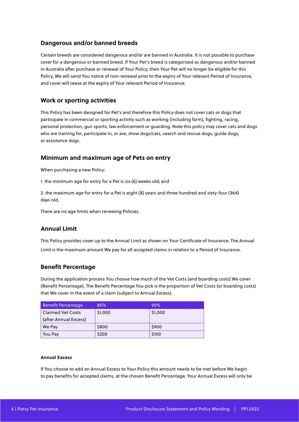#### **Dangerous and/or banned breeds**

Certain breeds are considered dangerous and/or are banned in Australia. It is not possible to purchase cover for a dangerous or banned breed. If Your Pet's breed is categorised as dangerous and/or banned in Australia after purchase or renewal of Your Policy, then Your Pet will no longer be eligible for this Policy, We will send You notice of non-renewal prior to the expiry of Your relevant Period of Insurance, and cover will cease at the expiry of Your relevant Period of Insurance.

#### **Work or sporting activities**

This Policy has been designed for Pet's and therefore this Policy does not cover cats or dogs that participate in commercial or sporting activity such as working (including farm), fighting, racing, personal protection, gun sports, law enforcement or guarding. Note this policy may cover cats and dogs who are training for, participate in, or are, show dogs/cats, search and rescue dogs, guide dogs, or assistance dogs.

#### **Minimum and maximum age of Pets on entry**

When purchasing a new Policy:

1. the minimum age for entry for a Pet is six (6) weeks old; and

2. the maximum age for entry for a Pet is eight (8) years and three hundred and sixty-four (364) days old.

There are no age limits when renewing Policies.

#### **Annual Limit**

This Policy provides cover up to the Annual Limit as shown on Your Certificate of Insurance. The Annual Limit is the maximum amount We pay for all accepted claims in relation to a Period of Insurance.

#### **Benefit Percentage**

During the application process You choose how much of the Vet Costs (and boarding costs) We cover (Benefit Percentage). The Benefit Percentage You pick is the proportion of Vet Costs (or boarding costs) that We cover in the event of a claim (subject to Annual Excess).

| <b>Benefit Percentage</b>                         | 80%     | 90%     |
|---------------------------------------------------|---------|---------|
| <b>Claimed Vet Costs</b><br>(after Annual Excess) | \$1,000 | \$1,000 |
| We Pay                                            | \$800   | \$900   |
| You Pay                                           | \$200   | \$100   |

#### **Annual Excess**

If You choose to add an Annual Excess to Your Policy this amount needs to be met before We begin to pay benefits for accepted claims, at the chosen Benefit Percentage. Your Annual Excess will only be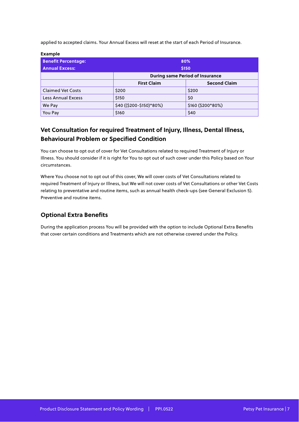applied to accepted claims. Your Annual Excess will reset at the start of each Period of Insurance.

| еханре                     |                          |                                        |  |
|----------------------------|--------------------------|----------------------------------------|--|
| <b>Benefit Percentage:</b> |                          | 80%                                    |  |
| <b>Annual Excess:</b>      |                          | \$150                                  |  |
|                            |                          | <b>During same Period of Insurance</b> |  |
|                            | <b>First Claim</b>       | <b>Second Claim</b>                    |  |
| <b>Claimed Vet Costs</b>   | \$200                    | \$200                                  |  |
| <b>Less Annual Excess</b>  | \$150                    | \$0                                    |  |
| We Pay                     | \$40 ((\$200-\$150)*80%) | \$160 (\$200*80%)                      |  |
| You Pay                    | \$160                    | \$40                                   |  |

#### **Vet Consultation for required Treatment of Injury, Illness, Dental Illness, Behavioural Problem or Specified Condition**

You can choose to opt out of cover for Vet Consultations related to required Treatment of Injury or Illness. You should consider if it is right for You to opt out of such cover under this Policy based on Your circumstances.

Where You choose not to opt out of this cover, We will cover costs of Vet Consultations related to required Treatment of Injury or Illness, but We will not cover costs of Vet Consultations or other Vet Costs relating to preventative and routine items, such as annual health check-ups (see General Exclusion 5). Preventive and routine items.

#### **Optional Extra Benefits**

**Example**

During the application process You will be provided with the option to include Optional Extra Benefits that cover certain conditions and Treatments which are not otherwise covered under the Policy.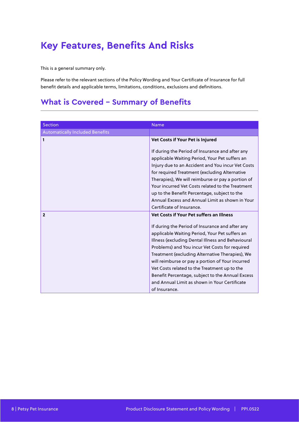## **Key Features, Benefits And Risks**

This is a general summary only.

Please refer to the relevant sections of the Policy Wording and Your Certificate of Insurance for full benefit details and applicable terms, limitations, conditions, exclusions and definitions.

## **What is Covered - Summary of Benefits**

| <b>Section</b>                         | <b>Name</b>                                       |
|----------------------------------------|---------------------------------------------------|
|                                        |                                                   |
| <b>Automatically Included Benefits</b> |                                                   |
| 1                                      | Vet Costs if Your Pet is Injured                  |
|                                        | If during the Period of Insurance and after any   |
|                                        | applicable Waiting Period, Your Pet suffers an    |
|                                        | Injury due to an Accident and You incur Vet Costs |
|                                        | for required Treatment (excluding Alternative     |
|                                        | Therapies), We will reimburse or pay a portion of |
|                                        | Your incurred Vet Costs related to the Treatment  |
|                                        | up to the Benefit Percentage, subject to the      |
|                                        | Annual Excess and Annual Limit as shown in Your   |
|                                        | Certificate of Insurance.                         |
| $\mathbf{2}$                           | <b>Vet Costs if Your Pet suffers an Illness</b>   |
|                                        | If during the Period of Insurance and after any   |
|                                        | applicable Waiting Period, Your Pet suffers an    |
|                                        | Illness (excluding Dental Illness and Behavioural |
|                                        | Problems) and You incur Vet Costs for required    |
|                                        | Treatment (excluding Alternative Therapies), We   |
|                                        | will reimburse or pay a portion of Your incurred  |
|                                        | Vet Costs related to the Treatment up to the      |
|                                        | Benefit Percentage, subject to the Annual Excess  |
|                                        | and Annual Limit as shown in Your Certificate     |
|                                        | of Insurance.                                     |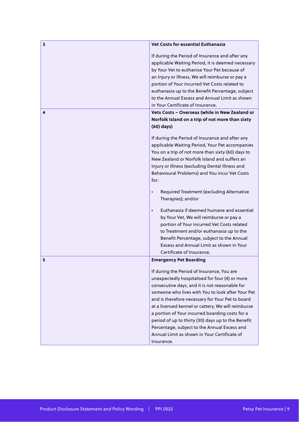| If during the Period of Insurance and after any<br>applicable Waiting Period, it is deemed necessary<br>by Your Vet to euthanise Your Pet because of<br>an Injury or Illness, We will reimburse or pay a<br>portion of Your incurred Vet Costs related to<br>euthanasia up to the Benefit Percentage, subject<br>to the Annual Excess and Annual Limit as shown<br>in Your Certificate of Insurance.<br>Vets Costs - Overseas (while in New Zealand or<br>4<br>Norfolk Island on a trip of not more than sixty<br>$(60)$ days)<br>If during the Period of Insurance and after any<br>applicable Waiting Period, Your Pet accompanies<br>You on a trip of not more than sixty (60) days to<br>New Zealand or Norfolk Island and suffers an<br>Injury or Illness (excluding Dental Illness and<br>Behavioural Problems) and You incur Vet Costs<br>for:<br>Required Treatment (excluding Alternative<br>$\bullet$<br>Therapies); and/or<br>Euthanasia if deemed humane and essential<br>$\bullet$<br>by Your Vet, We will reimburse or pay a<br>portion of Your incurred Vet Costs related<br>to Treatment and/or euthanasia up to the<br>Benefit Percentage, subject to the Annual<br>Excess and Annual Limit as shown in Your<br>Certificate of Insurance.<br><b>Emergency Pet Boarding</b><br>5<br>If during the Period of Insurance, You are | Vet Costs for essential Euthanasia |
|------------------------------------------------------------------------------------------------------------------------------------------------------------------------------------------------------------------------------------------------------------------------------------------------------------------------------------------------------------------------------------------------------------------------------------------------------------------------------------------------------------------------------------------------------------------------------------------------------------------------------------------------------------------------------------------------------------------------------------------------------------------------------------------------------------------------------------------------------------------------------------------------------------------------------------------------------------------------------------------------------------------------------------------------------------------------------------------------------------------------------------------------------------------------------------------------------------------------------------------------------------------------------------------------------------------------------------------------|------------------------------------|
|                                                                                                                                                                                                                                                                                                                                                                                                                                                                                                                                                                                                                                                                                                                                                                                                                                                                                                                                                                                                                                                                                                                                                                                                                                                                                                                                                |                                    |
|                                                                                                                                                                                                                                                                                                                                                                                                                                                                                                                                                                                                                                                                                                                                                                                                                                                                                                                                                                                                                                                                                                                                                                                                                                                                                                                                                |                                    |
|                                                                                                                                                                                                                                                                                                                                                                                                                                                                                                                                                                                                                                                                                                                                                                                                                                                                                                                                                                                                                                                                                                                                                                                                                                                                                                                                                |                                    |
|                                                                                                                                                                                                                                                                                                                                                                                                                                                                                                                                                                                                                                                                                                                                                                                                                                                                                                                                                                                                                                                                                                                                                                                                                                                                                                                                                |                                    |
|                                                                                                                                                                                                                                                                                                                                                                                                                                                                                                                                                                                                                                                                                                                                                                                                                                                                                                                                                                                                                                                                                                                                                                                                                                                                                                                                                |                                    |
|                                                                                                                                                                                                                                                                                                                                                                                                                                                                                                                                                                                                                                                                                                                                                                                                                                                                                                                                                                                                                                                                                                                                                                                                                                                                                                                                                |                                    |
|                                                                                                                                                                                                                                                                                                                                                                                                                                                                                                                                                                                                                                                                                                                                                                                                                                                                                                                                                                                                                                                                                                                                                                                                                                                                                                                                                |                                    |
|                                                                                                                                                                                                                                                                                                                                                                                                                                                                                                                                                                                                                                                                                                                                                                                                                                                                                                                                                                                                                                                                                                                                                                                                                                                                                                                                                |                                    |
|                                                                                                                                                                                                                                                                                                                                                                                                                                                                                                                                                                                                                                                                                                                                                                                                                                                                                                                                                                                                                                                                                                                                                                                                                                                                                                                                                |                                    |
|                                                                                                                                                                                                                                                                                                                                                                                                                                                                                                                                                                                                                                                                                                                                                                                                                                                                                                                                                                                                                                                                                                                                                                                                                                                                                                                                                |                                    |
|                                                                                                                                                                                                                                                                                                                                                                                                                                                                                                                                                                                                                                                                                                                                                                                                                                                                                                                                                                                                                                                                                                                                                                                                                                                                                                                                                |                                    |
|                                                                                                                                                                                                                                                                                                                                                                                                                                                                                                                                                                                                                                                                                                                                                                                                                                                                                                                                                                                                                                                                                                                                                                                                                                                                                                                                                |                                    |
|                                                                                                                                                                                                                                                                                                                                                                                                                                                                                                                                                                                                                                                                                                                                                                                                                                                                                                                                                                                                                                                                                                                                                                                                                                                                                                                                                |                                    |
|                                                                                                                                                                                                                                                                                                                                                                                                                                                                                                                                                                                                                                                                                                                                                                                                                                                                                                                                                                                                                                                                                                                                                                                                                                                                                                                                                |                                    |
| unexpectedly hospitalised for four (4) or more<br>consecutive days, and it is not reasonable for<br>someone who lives with You to look after Your Pet<br>and is therefore necessary for Your Pet to board<br>at a licensed kennel or cattery, We will reimburse<br>a portion of Your incurred boarding costs for a<br>period of up to thirty (30) days up to the Benefit<br>Percentage, subject to the Annual Excess and<br>Annual Limit as shown in Your Certificate of<br>Insurance.                                                                                                                                                                                                                                                                                                                                                                                                                                                                                                                                                                                                                                                                                                                                                                                                                                                         |                                    |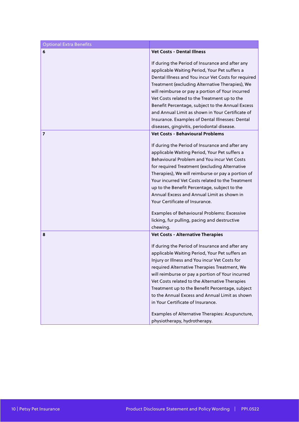| <b>Optional Extra Benefits</b> |                                                                                                                                                                                                                                                                                                                                                                                                                                                                                                                                                                                                 |
|--------------------------------|-------------------------------------------------------------------------------------------------------------------------------------------------------------------------------------------------------------------------------------------------------------------------------------------------------------------------------------------------------------------------------------------------------------------------------------------------------------------------------------------------------------------------------------------------------------------------------------------------|
| 6                              | <b>Vet Costs - Dental Illness</b>                                                                                                                                                                                                                                                                                                                                                                                                                                                                                                                                                               |
|                                | If during the Period of Insurance and after any<br>applicable Waiting Period, Your Pet suffers a<br>Dental Illness and You incur Vet Costs for required<br>Treatment (excluding Alternative Therapies), We<br>will reimburse or pay a portion of Your incurred<br>Vet Costs related to the Treatment up to the<br>Benefit Percentage, subject to the Annual Excess<br>and Annual Limit as shown in Your Certificate of<br>Insurance. Examples of Dental Illnesses: Dental                                                                                                                       |
|                                | diseases, gingivitis, periodontal disease.                                                                                                                                                                                                                                                                                                                                                                                                                                                                                                                                                      |
| 7                              | <b>Vet Costs - Behavioural Problems</b><br>If during the Period of Insurance and after any<br>applicable Waiting Period, Your Pet suffers a<br>Behavioural Problem and You incur Vet Costs<br>for required Treatment (excluding Alternative<br>Therapies), We will reimburse or pay a portion of<br>Your incurred Vet Costs related to the Treatment<br>up to the Benefit Percentage, subject to the<br>Annual Excess and Annual Limit as shown in<br>Your Certificate of Insurance.<br>Examples of Behavioural Problems: Excessive<br>licking, fur pulling, pacing and destructive<br>chewing. |
| 8                              | <b>Vet Costs - Alternative Therapies</b><br>If during the Period of Insurance and after any<br>applicable Waiting Period, Your Pet suffers an<br>Injury or Illness and You incur Vet Costs for<br>required Alternative Therapies Treatment, We<br>will reimburse or pay a portion of Your incurred<br>Vet Costs related to the Alternative Therapies<br>Treatment up to the Benefit Percentage, subject<br>to the Annual Excess and Annual Limit as shown<br>in Your Certificate of Insurance.<br>Examples of Alternative Therapies: Acupuncture,<br>physiotherapy, hydrotherapy.               |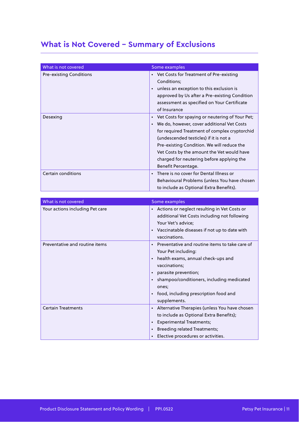## **What is Not Covered – Summary of Exclusions**

| What is not covered            | Some examples                                                                                                                                                                                                                                                                                                                                                           |
|--------------------------------|-------------------------------------------------------------------------------------------------------------------------------------------------------------------------------------------------------------------------------------------------------------------------------------------------------------------------------------------------------------------------|
| <b>Pre-existing Conditions</b> | • Vet Costs for Treatment of Pre-existing<br>Conditions;<br>unless an exception to this exclusion is<br>$\bullet$<br>approved by Us after a Pre-existing Condition<br>assessment as specified on Your Certificate<br>of Insurance                                                                                                                                       |
| Desexing                       | • Vet Costs for spaying or neutering of Your Pet;<br>We do, however, cover additional Vet Costs<br>$\bullet$<br>for required Treatment of complex cryptorchid<br>(undescended testicles) if it is not a<br>Pre-existing Condition. We will reduce the<br>Vet Costs by the amount the Vet would have<br>charged for neutering before applying the<br>Benefit Percentage. |
| Certain conditions             | There is no cover for Dental Illness or<br>$\bullet$<br>Behavioural Problems (unless You have chosen<br>to include as Optional Extra Benefits).                                                                                                                                                                                                                         |

| What is not covered             | Some examples                                                                                                                                                                                                                                                                                                                        |
|---------------------------------|--------------------------------------------------------------------------------------------------------------------------------------------------------------------------------------------------------------------------------------------------------------------------------------------------------------------------------------|
| Your actions including Pet care | Actions or neglect resulting in Vet Costs or<br>$\bullet$<br>additional Vet Costs including not following<br>Your Vet's advice;<br>Vaccinatable diseases if not up to date with<br>$\bullet$<br>vaccinations.                                                                                                                        |
| Preventative and routine items  | Preventative and routine items to take care of<br>$\bullet$<br>Your Pet including:<br>health exams, annual check-ups and<br>$\bullet$<br>vaccinations;<br>parasite prevention;<br>$\bullet$<br>shampoo/conditioners, including medicated<br>$\bullet$<br>ones;<br>food, including prescription food and<br>$\bullet$<br>supplements. |
| <b>Certain Treatments</b>       | Alternative Therapies (unless You have chosen<br>$\bullet$<br>to include as Optional Extra Benefits);<br><b>Experimental Treatments;</b><br>$\bullet$<br><b>Breeding related Treatments;</b><br>$\bullet$<br>Elective procedures or activities.<br>$\bullet$                                                                         |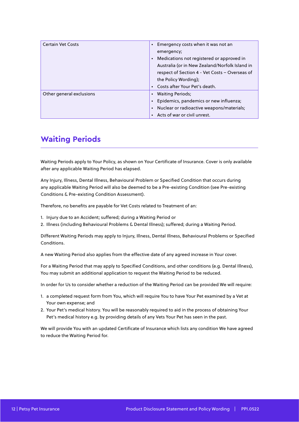| <b>Certain Vet Costs</b> | Emergency costs when it was not an<br>$\bullet$<br>emergency;<br>Medications not registered or approved in<br>$\bullet$<br>Australia (or in New Zealand/Norfolk Island in<br>respect of Section 4 - Vet Costs - Overseas of<br>the Policy Wording);<br>Costs after Your Pet's death. |
|--------------------------|--------------------------------------------------------------------------------------------------------------------------------------------------------------------------------------------------------------------------------------------------------------------------------------|
| Other general exclusions | <b>Waiting Periods;</b><br>Epidemics, pandemics or new influenza;<br>Nuclear or radioactive weapons/materials;<br>$\bullet$<br>Acts of war or civil unrest.                                                                                                                          |

## **Waiting Periods**

Waiting Periods apply to Your Policy, as shown on Your Certificate of Insurance. Cover is only available after any applicable Waiting Period has elapsed.

Any Injury, Illness, Dental Illness, Behavioural Problem or Specified Condition that occurs during any applicable Waiting Period will also be deemed to be a Pre-existing Condition (see Pre-existing Conditions & Pre-existing Condition Assessment).

Therefore, no benefits are payable for Vet Costs related to Treatment of an:

1. Injury due to an Accident; suffered; during a Waiting Period or

2. Illness (including Behavioural Problems & Dental Illness); suffered; during a Waiting Period.

Different Waiting Periods may apply to Injury, Illness, Dental Illness, Behavioural Problems or Specified Conditions.

A new Waiting Period also applies from the effective date of any agreed increase in Your cover.

For a Waiting Period that may apply to Specified Conditions, and other conditions (e.g. Dental Illness), You may submit an additional application to request the Waiting Period to be reduced.

In order for Us to consider whether a reduction of the Waiting Period can be provided We will require:

- 1. a completed request form from You, which will require You to have Your Pet examined by a Vet at Your own expense; and
- 2. Your Pet's medical history. You will be reasonably required to aid in the process of obtaining Your Pet's medical history e.g. by providing details of any Vets Your Pet has seen in the past.

We will provide You with an updated Certificate of Insurance which lists any condition We have agreed to reduce the Waiting Period for.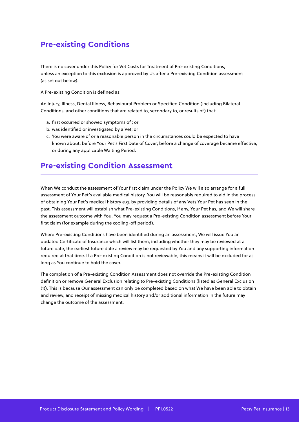## **Pre-existing Conditions**

There is no cover under this Policy for Vet Costs for Treatment of Pre-existing Conditions, unless an exception to this exclusion is approved by Us after a Pre-existing Condition assessment (as set out below).

A Pre-existing Condition is defined as:

An Injury, Illness, Dental Illness, Behavioural Problem or Specified Condition (including Bilateral Conditions, and other conditions that are related to, secondary to, or results of) that:

- a. first occurred or showed symptoms of ; or
- b. was identified or investigated by a Vet; or
- c. You were aware of or a reasonable person in the circumstances could be expected to have known about, before Your Pet's First Date of Cover; before a change of coverage became effective, or during any applicable Waiting Period.

#### **Pre-existing Condition Assessment**

When We conduct the assessment of Your first claim under the Policy We will also arrange for a full assessment of Your Pet's available medical history. You will be reasonably required to aid in the process of obtaining Your Pet's medical history e.g. by providing details of any Vets Your Pet has seen in the past. This assessment will establish what Pre-existing Conditions, if any, Your Pet has, and We will share the assessment outcome with You. You may request a Pre-existing Condition assessment before Your first claim (for example during the cooling-off period).

Where Pre-existing Conditions have been identified during an assessment, We will issue You an updated Certificate of Insurance which will list them, including whether they may be reviewed at a future date, the earliest future date a review may be requested by You and any supporting information required at that time. If a Pre-existing Condition is not reviewable, this means it will be excluded for as long as You continue to hold the cover.

The completion of a Pre-existing Condition Assessment does not override the Pre-existing Condition definition or remove General Exclusion relating to Pre-existing Conditions (listed as General Exclusion (1)). This is because Our assessment can only be completed based on what We have been able to obtain and review, and receipt of missing medical history and/or additional information in the future may change the outcome of the assessment.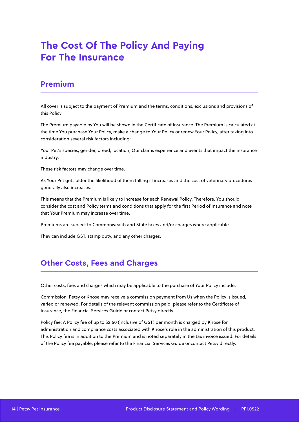## **The Cost Of The Policy And Paying For The Insurance**

#### **Premium**

All cover is subject to the payment of Premium and the terms, conditions, exclusions and provisions of this Policy.

The Premium payable by You will be shown in the Certificate of Insurance. The Premium is calculated at the time You purchase Your Policy, make a change to Your Policy or renew Your Policy, after taking into consideration several risk factors including:

Your Pet's species, gender, breed, location, Our claims experience and events that impact the insurance industry.

These risk factors may change over time.

As Your Pet gets older the likelihood of them falling ill increases and the cost of veterinary procedures generally also increases.

This means that the Premium is likely to increase for each Renewal Policy. Therefore, You should consider the cost and Policy terms and conditions that apply for the first Period of Insurance and note that Your Premium may increase over time.

Premiums are subject to Commonwealth and State taxes and/or charges where applicable.

They can include GST, stamp duty, and any other charges.

### **Other Costs, Fees and Charges**

Other costs, fees and charges which may be applicable to the purchase of Your Policy include:

Commission: Petsy or Knose may receive a commission payment from Us when the Policy is issued, varied or renewed. For details of the relevant commission paid, please refer to the Certificate of Insurance, the Financial Services Guide or contact Petsy directly.

Policy fee: A Policy fee of up to \$2.50 (inclusive of GST) per month is charged by Knose for administration and compliance costs associated with Knose's role in the administration of this product. This Policy fee is in addition to the Premium and is noted separately in the tax invoice issued. For details of the Policy fee payable, please refer to the Financial Services Guide or contact Petsy directly.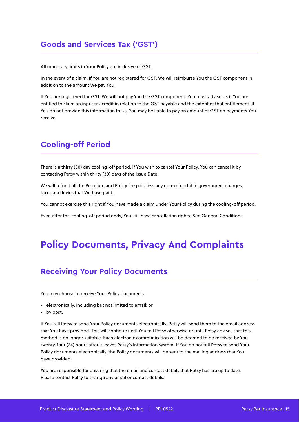## **Goods and Services Tax ('GST')**

All monetary limits in Your Policy are inclusive of GST.

In the event of a claim, if You are not registered for GST, We will reimburse You the GST component in addition to the amount We pay You.

If You are registered for GST, We will not pay You the GST component. You must advise Us if You are entitled to claim an input tax credit in relation to the GST payable and the extent of that entitlement. If You do not provide this information to Us, You may be liable to pay an amount of GST on payments You receive.

## **Cooling-off Period**

There is a thirty (30) day cooling-off period. If You wish to cancel Your Policy, You can cancel it by contacting Petsy within thirty (30) days of the Issue Date.

We will refund all the Premium and Policy fee paid less any non-refundable government charges, taxes and levies that We have paid.

You cannot exercise this right if You have made a claim under Your Policy during the cooling-off period.

Even after this cooling-off period ends, You still have cancellation rights. See General Conditions.

## **Policy Documents, Privacy And Complaints**

#### **Receiving Your Policy Documents**

You may choose to receive Your Policy documents:

- electronically, including but not limited to email; or
- by post.

If You tell Petsy to send Your Policy documents electronically, Petsy will send them to the email address that You have provided. This will continue until You tell Petsy otherwise or until Petsy advises that this method is no longer suitable. Each electronic communication will be deemed to be received by You twenty-four (24) hours after it leaves Petsy's information system. If You do not tell Petsy to send Your Policy documents electronically, the Policy documents will be sent to the mailing address that You have provided.

You are responsible for ensuring that the email and contact details that Petsy has are up to date. Please contact Petsy to change any email or contact details.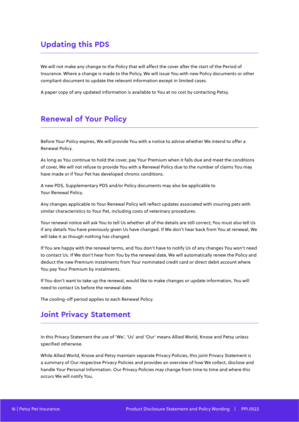## **Updating this PDS**

We will not make any change to the Policy that will affect the cover after the start of the Period of Insurance. Where a change is made to the Policy, We will issue You with new Policy documents or other compliant document to update the relevant information except in limited cases.

A paper copy of any updated information is available to You at no cost by contacting Petsy.

#### **Renewal of Your Policy**

Before Your Policy expires, We will provide You with a notice to advise whether We intend to offer a Renewal Policy.

As long as You continue to hold the cover, pay Your Premium when it falls due and meet the conditions of cover, We will not refuse to provide You with a Renewal Policy due to the number of claims You may have made or if Your Pet has developed chronic conditions.

A new PDS, Supplementary PDS and/or Policy documents may also be applicable to Your Renewal Policy.

Any changes applicable to Your Renewal Policy will reflect updates associated with insuring pets with similar characteristics to Your Pet, including costs of veterinary procedures.

Your renewal notice will ask You to tell Us whether all of the details are still correct; You must also tell Us if any details You have previously given Us have changed. If We don't hear back from You at renewal, We will take it as though nothing has changed.

If You are happy with the renewal terms, and You don't have to notify Us of any changes You won't need to contact Us. If We don't hear from You by the renewal date, We will automatically renew the Policy and deduct the new Premium instalments from Your nominated credit card or direct debit account where You pay Your Premium by instalments.

If You don't want to take up the renewal, would like to make changes or update information, You will need to contact Us before the renewal date.

The cooling-off period applies to each Renewal Policy.

#### **Joint Privacy Statement**

In this Privacy Statement the use of 'We', 'Us' and 'Our' means Allied World, Knose and Petsy unless specified otherwise.

While Allied World, Knose and Petsy maintain separate Privacy Policies, this joint Privacy Statement is a summary of Our respective Privacy Policies and provides an overview of how We collect, disclose and handle Your Personal Information. Our Privacy Policies may change from time to time and where this occurs We will notify You.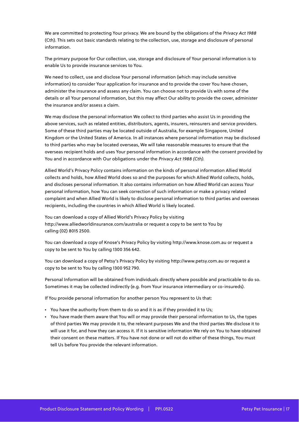We are committed to protecting Your privacy. We are bound by the obligations of the Privacy Act 1988 (Cth). This sets out basic standards relating to the collection, use, storage and disclosure of personal information.

The primary purpose for Our collection, use, storage and disclosure of Your personal information is to enable Us to provide insurance services to You.

We need to collect, use and disclose Your personal information (which may include sensitive information) to consider Your application for insurance and to provide the cover You have chosen, administer the insurance and assess any claim. You can choose not to provide Us with some of the details or all Your personal information, but this may affect Our ability to provide the cover, administer the insurance and/or assess a claim.

We may disclose the personal information We collect to third parties who assist Us in providing the above services, such as related entities, distributors, agents, insurers, reinsurers and service providers. Some of these third parties may be located outside of Australia, for example Singapore, United Kingdom or the United States of America. In all instances where personal information may be disclosed to third parties who may be located overseas, We will take reasonable measures to ensure that the overseas recipient holds and uses Your personal information in accordance with the consent provided by You and in accordance with Our obligations under the Privacy Act 1988 (Cth).

Allied World's Privacy Policy contains information on the kinds of personal information Allied World collects and holds, how Allied World does so and the purposes for which Allied World collects, holds, and discloses personal information. It also contains information on how Allied World can access Your personal information, how You can seek correction of such information or make a privacy related complaint and when Allied World is likely to disclose personal information to third parties and overseas recipients, including the countries in which Allied World is likely located.

You can download a copy of Allied World's Privacy Policy by visiting http://www.alliedworldinsurance.com/australia or request a copy to be sent to You by calling (02) 8015 2500.

You can download a copy of Knose's Privacy Policy by visiting http://www.knose.com.au or request a copy to be sent to You by calling 1300 356 642.

You can download a copy of Petsy's Privacy Policy by visiting http://www.petsy.com.au or request a copy to be sent to You by calling 1300 952 790.

Personal Information will be obtained from individuals directly where possible and practicable to do so. Sometimes it may be collected indirectly (e.g. from Your insurance intermediary or co-insureds).

If You provide personal information for another person You represent to Us that:

- You have the authority from them to do so and it is as if they provided it to Us;
- You have made them aware that You will or may provide their personal information to Us, the types of third parties We may provide it to, the relevant purposes We and the third parties We disclose it to will use it for, and how they can access it. If it is sensitive information We rely on You to have obtained their consent on these matters. If You have not done or will not do either of these things, You must tell Us before You provide the relevant information.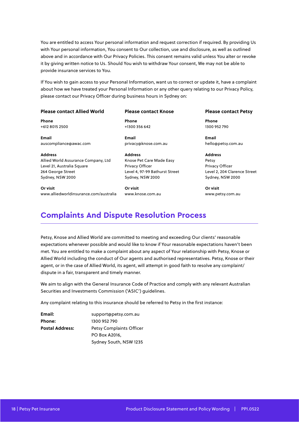You are entitled to access Your personal information and request correction if required. By providing Us with Your personal information, You consent to Our collection, use and disclosure, as well as outlined above and in accordance with Our Privacy Policies. This consent remains valid unless You alter or revoke it by giving written notice to Us. Should You wish to withdraw Your consent, We may not be able to provide insurance services to You.

If You wish to gain access to your Personal Information, want us to correct or update it, have a complaint about how we have treated your Personal Information or any other query relating to our Privacy Policy, please contact our Privacy Officer during business hours in Sydney on:

#### **Please contact Allied World**

**Phone** +612 8015 2500

**Email** auscompliance@awac.com

**Address** Allied World Assurance Company, Ltd Level 21, Australia Square 264 George Street Sydney, NSW 2000

**Or visit** www.alliedworldinsurance.com/australia

#### **Please contact Knose**

**Phone** +1300 356 642

**Email** privacy@knose.com.au

**Address** Knose Pet Care Made Easy Privacy Officer Level 4, 97-99 Bathurst Street Sydney, NSW 2000

**Or visit** www.knose.com.au

#### **Please contact Petsy**

**Phone** 1300 952 790

**Email** hello@petsy.com.au

**Address** Petsy Privacy Officer Level 2, 204 Clarence Street Sydney, NSW 2000

**Or visit** www.petsy.com.au

#### **Complaints And Dispute Resolution Process**

Petsy, Knose and Allied World are committed to meeting and exceeding Our clients' reasonable expectations whenever possible and would like to know if Your reasonable expectations haven't been met. You are entitled to make a complaint about any aspect of Your relationship with Petsy, Knose or Allied World including the conduct of Our agents and authorised representatives. Petsy, Knose or their agent, or in the case of Allied World, its agent, will attempt in good faith to resolve any complaint/ dispute in a fair, transparent and timely manner.

We aim to align with the General Insurance Code of Practice and comply with any relevant Australian Securities and Investments Commission ('ASIC') guidelines.

Any complaint relating to this insurance should be referred to Petsy in the first instance:

**Email:** support@petsy.com.au **Phone:** 1300 952 790 **Postal Address:** Petsy Complaints Officer PO Box A2016, Sydney South, NSW 1235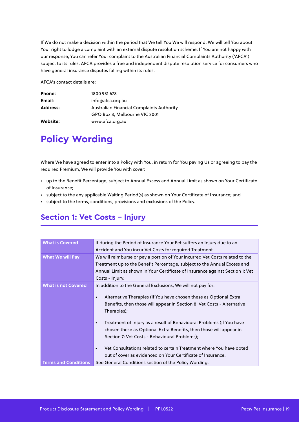If We do not make a decision within the period that We tell You We will respond, We will tell You about Your right to lodge a complaint with an external dispute resolution scheme. If You are not happy with our response, You can refer Your complaint to the Australian Financial Complaints Authority ('AFCA') subject to its rules. AFCA provides a free and independent dispute resolution service for consumers who have general insurance disputes falling within its rules.

AFCA's contact details are:

| Phone:          | 1800 931 678                              |
|-----------------|-------------------------------------------|
| Email:          | info@afca.org.au                          |
| <b>Address:</b> | Australian Financial Complaints Authority |
|                 | GPO Box 3, Melbourne VIC 3001             |
| Website:        | www.afca.org.au                           |

## **Policy Wording**

Where We have agreed to enter into a Policy with You, in return for You paying Us or agreeing to pay the required Premium, We will provide You with cover:

- up to the Benefit Percentage, subject to Annual Excess and Annual Limit as shown on Your Certificate of Insurance;
- subject to the any applicable Waiting Period(s) as shown on Your Certificate of Insurance; and
- subject to the terms, conditions, provisions and exclusions of the Policy.

#### **Section 1: Vet Costs - Injury**

| <b>What is Covered</b>      | If during the Period of Insurance Your Pet suffers an Injury due to an                                                                                                                                   |
|-----------------------------|----------------------------------------------------------------------------------------------------------------------------------------------------------------------------------------------------------|
|                             | Accident and You incur Vet Costs for required Treatment.                                                                                                                                                 |
| <b>What We will Pay</b>     | We will reimburse or pay a portion of Your incurred Vet Costs related to the                                                                                                                             |
|                             | Treatment up to the Benefit Percentage, subject to the Annual Excess and                                                                                                                                 |
|                             | Annual Limit as shown in Your Certificate of Insurance against Section 1: Vet                                                                                                                            |
|                             | Costs - Injury.                                                                                                                                                                                          |
| <b>What is not Covered</b>  | In addition to the General Exclusions, We will not pay for:                                                                                                                                              |
|                             | Alternative Therapies (if You have chosen these as Optional Extra<br>$\bullet$<br>Benefits, then those will appear in Section 8: Vet Costs - Alternative<br>Therapies);                                  |
|                             | Treatment of Injury as a result of Behavioural Problems (if You have<br>$\bullet$<br>chosen these as Optional Extra Benefits, then those will appear in<br>Section 7: Vet Costs - Behavioural Problems); |
|                             | Vet Consultations related to certain Treatment where You have opted<br>$\bullet$<br>out of cover as evidenced on Your Certificate of Insurance.                                                          |
| <b>Terms and Conditions</b> | See General Conditions section of the Policy Wording.                                                                                                                                                    |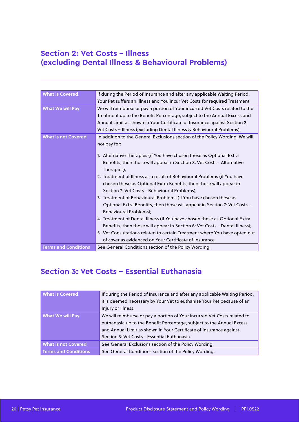### **Section 2: Vet Costs – Illness (excluding Dental Illness & Behavioural Problems)**

| <b>What is Covered</b>      | If during the Period of Insurance and after any applicable Waiting Period,                   |
|-----------------------------|----------------------------------------------------------------------------------------------|
|                             | Your Pet suffers an Illness and You incur Vet Costs for required Treatment.                  |
| <b>What We will Pay</b>     | We will reimburse or pay a portion of Your incurred Vet Costs related to the                 |
|                             | Treatment up to the Benefit Percentage, subject to the Annual Excess and                     |
|                             | Annual Limit as shown in Your Certificate of Insurance against Section 2:                    |
|                             | Vet Costs - Illness (excluding Dental Illness & Behavioural Problems).                       |
| <b>What is not Covered</b>  | In addition to the General Exclusions section of the Policy Wording, We will<br>not pay for: |
|                             | 1. Alternative Therapies (if You have chosen these as Optional Extra                         |
|                             | Benefits, then those will appear in Section 8: Vet Costs - Alternative<br>Therapies);        |
|                             | 2. Treatment of Illness as a result of Behavioural Problems (if You have                     |
|                             | chosen these as Optional Extra Benefits, then those will appear in                           |
|                             | Section 7: Vet Costs - Behavioural Problems);                                                |
|                             | 3. Treatment of Behavioural Problems (if You have chosen these as                            |
|                             | Optional Extra Benefits, then those will appear in Section 7: Vet Costs -                    |
|                             | Behavioural Problems);                                                                       |
|                             | 4. Treatment of Dental Illness (if You have chosen these as Optional Extra                   |
|                             | Benefits, then those will appear in Section 6: Vet Costs - Dental Illness);                  |
|                             | 5. Vet Consultations related to certain Treatment where You have opted out                   |
|                             | of cover as evidenced on Your Certificate of Insurance.                                      |
| <b>Terms and Conditions</b> | See General Conditions section of the Policy Wording.                                        |

## **Section 3: Vet Costs – Essential Euthanasia**

| <b>What is Covered</b>                                             | If during the Period of Insurance and after any applicable Waiting Period, |  |
|--------------------------------------------------------------------|----------------------------------------------------------------------------|--|
|                                                                    | it is deemed necessary by Your Vet to euthanise Your Pet because of an     |  |
|                                                                    | Injury or Illness.                                                         |  |
| <b>What We will Pay</b>                                            | We will reimburse or pay a portion of Your incurred Vet Costs related to   |  |
|                                                                    | euthanasia up to the Benefit Percentage, subject to the Annual Excess      |  |
| and Annual Limit as shown in Your Certificate of Insurance against |                                                                            |  |
| Section 3: Vet Costs - Essential Euthanasia.                       |                                                                            |  |
| <b>What is not Covered</b>                                         | See General Exclusions section of the Policy Wording.                      |  |
| <b>Terms and Conditions</b>                                        | See General Conditions section of the Policy Wording.                      |  |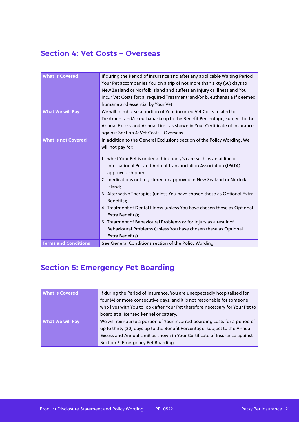### **Section 4: Vet Costs – Overseas**

| <b>What is Covered</b>      | If during the Period of Insurance and after any applicable Waiting Period<br>Your Pet accompanies You on a trip of not more than sixty (60) days to<br>New Zealand or Norfolk Island and suffers an Injury or Illness and You<br>incur Vet Costs for: a. required Treatment; and/or b. euthanasia if deemed<br>humane and essential by Your Vet.                                                                                                                                                                                                                                                                                                                                                     |
|-----------------------------|------------------------------------------------------------------------------------------------------------------------------------------------------------------------------------------------------------------------------------------------------------------------------------------------------------------------------------------------------------------------------------------------------------------------------------------------------------------------------------------------------------------------------------------------------------------------------------------------------------------------------------------------------------------------------------------------------|
| <b>What We will Pay</b>     | We will reimburse a portion of Your incurred Vet Costs related to<br>Treatment and/or euthanasia up to the Benefit Percentage, subject to the<br>Annual Excess and Annual Limit as shown in Your Certificate of Insurance<br>against Section 4: Vet Costs - Overseas.                                                                                                                                                                                                                                                                                                                                                                                                                                |
| <b>What is not Covered</b>  | In addition to the General Exclusions section of the Policy Wording, We<br>will not pay for:<br>1. whist Your Pet is under a third party's care such as an airline or<br>International Pet and Animal Transportation Association (IPATA)<br>approved shipper;<br>2. medications not registered or approved in New Zealand or Norfolk<br>Island;<br>3. Alternative Therapies (unless You have chosen these as Optional Extra<br>Benefits);<br>4. Treatment of Dental Illness (unless You have chosen these as Optional<br>Extra Benefits);<br>5. Treatment of Behavioural Problems or for Injury as a result of<br>Behavioural Problems (unless You have chosen these as Optional<br>Extra Benefits). |
| <b>Terms and Conditions</b> | See General Conditions section of the Policy Wording.                                                                                                                                                                                                                                                                                                                                                                                                                                                                                                                                                                                                                                                |

## **Section 5: Emergency Pet Boarding**

| <b>What is Covered</b>  | If during the Period of Insurance, You are unexpectedly hospitalised for<br>four (4) or more consecutive days, and it is not reasonable for someone<br>who lives with You to look after Your Pet therefore necessary for Your Pet to<br>board at a licensed kennel or cattery. |
|-------------------------|--------------------------------------------------------------------------------------------------------------------------------------------------------------------------------------------------------------------------------------------------------------------------------|
| <b>What We will Pay</b> | We will reimburse a portion of Your incurred boarding costs for a period of<br>up to thirty (30) days up to the Benefit Percentage, subject to the Annual<br>Excess and Annual Limit as shown in Your Certificate of Insurance against<br>Section 5: Emergency Pet Boarding.   |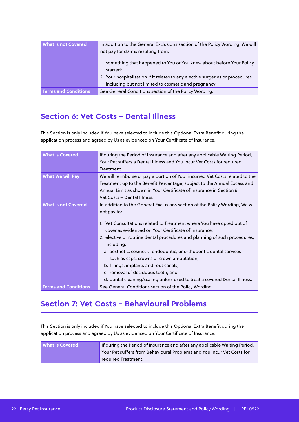| <b>What is not Covered</b>  | In addition to the General Exclusions section of the Policy Wording, We will       |  |
|-----------------------------|------------------------------------------------------------------------------------|--|
|                             | not pay for claims resulting from:                                                 |  |
|                             | 1. something that happened to You or You knew about before Your Policy<br>started: |  |
|                             | 2. Your hospitalisation if it relates to any elective surgeries or procedures      |  |
|                             | including but not limited to cosmetic and pregnancy.                               |  |
| <b>Terms and Conditions</b> | See General Conditions section of the Policy Wording.                              |  |

## **Section 6: Vet Costs - Dental Illness**

This Section is only included if You have selected to include this Optional Extra Benefit during the application process and agreed by Us as evidenced on Your Certificate of Insurance.

| <b>What is Covered</b>      | If during the Period of Insurance and after any applicable Waiting Period,   |  |
|-----------------------------|------------------------------------------------------------------------------|--|
|                             | Your Pet suffers a Dental Illness and You incur Vet Costs for required       |  |
|                             | Treatment.                                                                   |  |
| <b>What We will Pay</b>     | We will reimburse or pay a portion of Your incurred Vet Costs related to the |  |
|                             | Treatment up to the Benefit Percentage, subject to the Annual Excess and     |  |
|                             | Annual Limit as shown in Your Certificate of Insurance in Section 6:         |  |
|                             | Vet Costs - Dental Illness.                                                  |  |
| <b>What is not Covered</b>  | In addition to the General Exclusions section of the Policy Wording, We will |  |
|                             | not pay for:                                                                 |  |
|                             |                                                                              |  |
|                             | 1. Vet Consultations related to Treatment where You have opted out of        |  |
|                             | cover as evidenced on Your Certificate of Insurance;                         |  |
|                             | 2. elective or routine dental procedures and planning of such procedures,    |  |
|                             | including:                                                                   |  |
|                             | a. aesthetic, cosmetic, endodontic, or orthodontic dental services           |  |
|                             | such as caps, crowns or crown amputation;                                    |  |
|                             | b. fillings, implants and root canals;                                       |  |
|                             | c. removal of deciduous teeth; and                                           |  |
|                             | d. dental cleaning/scaling unless used to treat a covered Dental Illness.    |  |
| <b>Terms and Conditions</b> | See General Conditions section of the Policy Wording.                        |  |

## **Section 7: Vet Costs - Behavioural Problems**

This Section is only included if You have selected to include this Optional Extra Benefit during the application process and agreed by Us as evidenced on Your Certificate of Insurance.

| <b>What is Covered</b> | If during the Period of Insurance and after any applicable Waiting Period, |
|------------------------|----------------------------------------------------------------------------|
| required Treatment.    | Your Pet suffers from Behavioural Problems and You incur Vet Costs for     |
|                        |                                                                            |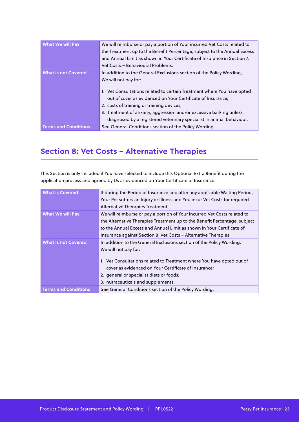| <b>What We will Pay</b>     | We will reimburse or pay a portion of Your incurred Vet Costs related to<br>the Treatment up to the Benefit Percentage, subject to the Annual Excess<br>and Annual Limit as shown in Your Certificate of Insurance in Section 7:<br>Vet Costs - Behavioural Problems.                                                                                                                                                             |
|-----------------------------|-----------------------------------------------------------------------------------------------------------------------------------------------------------------------------------------------------------------------------------------------------------------------------------------------------------------------------------------------------------------------------------------------------------------------------------|
| <b>What is not Covered</b>  | In addition to the General Exclusions section of the Policy Wording,<br>We will not pay for:<br>1. Vet Consultations related to certain Treatment where You have opted<br>out of cover as evidenced on Your Certificate of Insurance;<br>2. costs of training or training devices;<br>3. Treatment of anxiety, aggression and/or excessive barking unless<br>diagnosed by a registered veterinary specialist in animal behaviour. |
| <b>Terms and Conditions</b> | See General Conditions section of the Policy Wording.                                                                                                                                                                                                                                                                                                                                                                             |

## **Section 8: Vet Costs - Alternative Therapies**

This Section is only included if You have selected to include this Optional Extra Benefit during the application process and agreed by Us as evidenced on Your Certificate of Insurance.

| <b>What is Covered</b>      | If during the Period of Insurance and after any applicable Waiting Period,<br>Your Pet suffers an Injury or Illness and You incur Vet Costs for required<br>Alternative Therapies Treatment.                                                                                                                    |
|-----------------------------|-----------------------------------------------------------------------------------------------------------------------------------------------------------------------------------------------------------------------------------------------------------------------------------------------------------------|
| <b>What We will Pay</b>     | We will reimburse or pay a portion of Your incurred Vet Costs related to<br>the Alternative Therapies Treatment up to the Benefit Percentage, subject<br>to the Annual Excess and Annual Limit as shown in Your Certificate of<br>Insurance against Section 8: Vet Costs – Alternative Therapies.               |
| <b>What is not Covered</b>  | In addition to the General Exclusions section of the Policy Wording.<br>We will not pay for:<br>1. Vet Consultations related to Treatment where You have opted out of<br>cover as evidenced on Your Certificate of Insurance;<br>2. general or specialist diets or foods;<br>3. nutraceuticals and supplements. |
| <b>Terms and Conditions</b> | See General Conditions section of the Policy Wording.                                                                                                                                                                                                                                                           |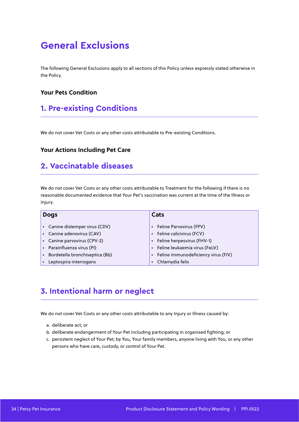## **General Exclusions**

The following General Exclusions apply to all sections of this Policy unless expressly stated otherwise in the Policy.

#### **Your Pets Condition**

### **1. Pre-existing Conditions**

We do not cover Vet Costs or any other costs attributable to Pre-existing Conditions.

#### **Your Actions Including Pet Care**

#### **2. Vaccinatable diseases**

We do not cover Vet Costs or any other costs attributable to Treatment for the following if there is no reasonable documented evidence that Your Pet's vaccination was current at the time of the Illness or Injury.

| <b>Dogs</b>                    | Cats                                       |
|--------------------------------|--------------------------------------------|
|                                |                                            |
| Canine distemper virus (CDV)   | Feline Parvovirus (FPV)                    |
| Canine adenovirus (CAV)        | Feline calicivirus (FCV)                   |
| Canine parvovirus (CPV-2)      | Feline herpesvirus (FHV-1)                 |
| Parainfluenza virus (PI)       | Feline leukaemia virus (FeLV)<br>$\bullet$ |
| Bordetella bronchiseptica (Bb) | Feline immunodeficiency virus (FIV)        |
| Leptospira interrogans         | Chlamydia felis<br>$\bullet$               |

## **3. Intentional harm or neglect**

We do not cover Vet Costs or any other costs attributable to any Injury or Illness caused by:

- a. deliberate act; or
- b. deliberate endangerment of Your Pet including participating in organised fighting; or
- c. persistent neglect of Your Pet; by You, Your family members, anyone living with You, or any other persons who have care, custody, or control of Your Pet.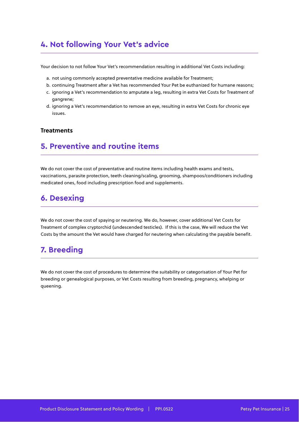## **4. Not following Your Vet's advice**

Your decision to not follow Your Vet's recommendation resulting in additional Vet Costs including:

- a. not using commonly accepted preventative medicine available for Treatment;
- b. continuing Treatment after a Vet has recommended Your Pet be euthanized for humane reasons;
- c. ignoring a Vet's recommendation to amputate a leg, resulting in extra Vet Costs for Treatment of gangrene;
- d. ignoring a Vet's recommendation to remove an eye, resulting in extra Vet Costs for chronic eye issues.

#### **Treatments**

#### **5. Preventive and routine items**

We do not cover the cost of preventative and routine items including health exams and tests, vaccinations, parasite protection, teeth cleaning/scaling, grooming, shampoos/conditioners including medicated ones, food including prescription food and supplements.

#### **6. Desexing**

We do not cover the cost of spaying or neutering. We do, however, cover additional Vet Costs for Treatment of complex cryptorchid (undescended testicles). If this is the case, We will reduce the Vet Costs by the amount the Vet would have charged for neutering when calculating the payable benefit.

#### **7. Breeding**

We do not cover the cost of procedures to determine the suitability or categorisation of Your Pet for breeding or genealogical purposes, or Vet Costs resulting from breeding, pregnancy, whelping or queening.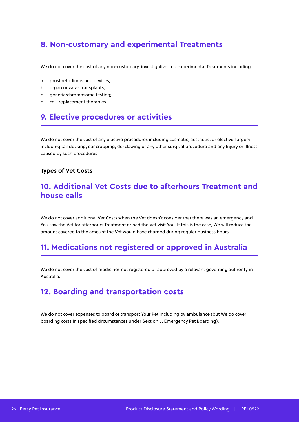## **8. Non-customary and experimental Treatments**

We do not cover the cost of any non-customary, investigative and experimental Treatments including:

- a. prosthetic limbs and devices;
- b. organ or valve transplants;
- c. genetic/chromosome testing;
- d. cell-replacement therapies.

### **9. Elective procedures or activities**

We do not cover the cost of any elective procedures including cosmetic, aesthetic, or elective surgery including tail docking, ear cropping, de-clawing or any other surgical procedure and any Injury or Illness caused by such procedures.

#### **Types of Vet Costs**

#### **10. Additional Vet Costs due to afterhours Treatment and house calls**

We do not cover additional Vet Costs when the Vet doesn't consider that there was an emergency and You saw the Vet for afterhours Treatment or had the Vet visit You. If this is the case, We will reduce the amount covered to the amount the Vet would have charged during regular business hours.

#### **11. Medications not registered or approved in Australia**

We do not cover the cost of medicines not registered or approved by a relevant governing authority in Australia.

### **12. Boarding and transportation costs**

We do not cover expenses to board or transport Your Pet including by ambulance (but We do cover boarding costs in specified circumstances under Section 5. Emergency Pet Boarding).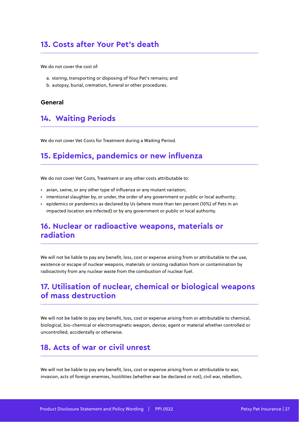### **13. Costs after Your Pet's death**

We do not cover the cost of

- a. storing, transporting or disposing of Your Pet's remains; and
- b. autopsy, burial, cremation, funeral or other procedures.

#### **General**

#### **14. Waiting Periods**

We do not cover Vet Costs for Treatment during a Waiting Period.

#### **15. Epidemics, pandemics or new influenza**

We do not cover Vet Costs, Treatment or any other costs attributable to:

- avian, swine, or any other type of influenza or any mutant variation;
- intentional slaughter by, or under, the order of any government or public or local authority;
- epidemics or pandemics as declared by Us (where more than ten percent (10%) of Pets in an impacted location are infected) or by any government or public or local authority.

#### **16. Nuclear or radioactive weapons, materials or radiation**

We will not be liable to pay any benefit, loss, cost or expense arising from or attributable to the use, existence or escape of nuclear weapons, materials or ionizing radiation from or contamination by radioactivity from any nuclear waste from the combustion of nuclear fuel.

#### **17. Utilisation of nuclear, chemical or biological weapons of mass destruction**

We will not be liable to pay any benefit, loss, cost or expense arising from or attributable to chemical, biological, bio-chemical or electromagnetic weapon, device, agent or material whether controlled or uncontrolled, accidentally or otherwise.

#### **18. Acts of war or civil unrest**

We will not be liable to pay any benefit, loss, cost or expense arising from or attributable to war, invasion, acts of foreign enemies, hostilities (whether war be declared or not), civil war, rebellion,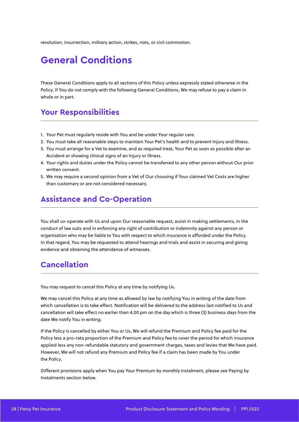revolution, insurrection, military action, strikes, riots, or civil commotion.

## **General Conditions**

These General Conditions apply to all sections of this Policy unless expressly stated otherwise in the Policy. If You do not comply with the following General Conditions, We may refuse to pay a claim in whole or in part.

## **Your Responsibilities**

- 1. Your Pet must regularly reside with You and be under Your regular care.
- 2. You must take all reasonable steps to maintain Your Pet's health and to prevent Injury and Illness.
- 3. You must arrange for a Vet to examine, and as required treat, Your Pet as soon as possible after an Accident or showing clinical signs of an Injury or Illness.
- 4. Your rights and duties under the Policy cannot be transferred to any other person without Our prior written consent.
- 5. We may require a second opinion from a Vet of Our choosing if Your claimed Vet Costs are higher than customary or are not considered necessary.

#### **Assistance and Co-Operation**

You shall co-operate with Us and upon Our reasonable request, assist in making settlements, in the conduct of law suits and in enforcing any right of contribution or indemnity against any person or organisation who may be liable to You with respect to which insurance is afforded under the Policy. In that regard, You may be requested to attend hearings and trials and assist in securing and giving evidence and obtaining the attendance of witnesses.

### **Cancellation**

You may request to cancel this Policy at any time by notifying Us.

We may cancel this Policy at any time as allowed by law by notifying You in writing of the date from which cancellation is to take effect. Notification will be delivered to the address last notified to Us and cancellation will take effect no earlier than 4.00 pm on the day which is three (3) business days from the date We notify You in writing.

If the Policy is cancelled by either You or Us, We will refund the Premium and Policy fee paid for the Policy less a pro-rata proportion of the Premium and Policy fee to cover the period for which insurance applied less any non-refundable statutory and government charges, taxes and levies that We have paid. However, We will not refund any Premium and Policy fee if a claim has been made by You under the Policy.

Different provisions apply when You pay Your Premium by monthly instalment, please see Paying by Instalments section below.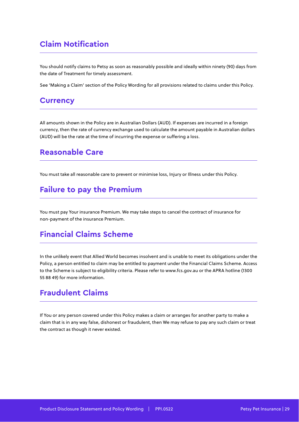## **Claim Notification**

You should notify claims to Petsy as soon as reasonably possible and ideally within ninety (90) days from the date of Treatment for timely assessment.

See 'Making a Claim' section of the Policy Wording for all provisions related to claims under this Policy.

#### **Currency**

All amounts shown in the Policy are in Australian Dollars (AUD). If expenses are incurred in a foreign currency, then the rate of currency exchange used to calculate the amount payable in Australian dollars (AUD) will be the rate at the time of incurring the expense or suffering a loss.

#### **Reasonable Care**

You must take all reasonable care to prevent or minimise loss, Injury or Illness under this Policy.

#### **Failure to pay the Premium**

You must pay Your insurance Premium. We may take steps to cancel the contract of insurance for non-payment of the insurance Premium.

## **Financial Claims Scheme**

In the unlikely event that Allied World becomes insolvent and is unable to meet its obligations under the Policy, a person entitled to claim may be entitled to payment under the Financial Claims Scheme. Access to the Scheme is subject to eligibility criteria. Please refer to www.fcs.gov.au or the APRA hotline (1300 55 88 49) for more information.

#### **Fraudulent Claims**

If You or any person covered under this Policy makes a claim or arranges for another party to make a claim that is in any way false, dishonest or fraudulent, then We may refuse to pay any such claim or treat the contract as though it never existed.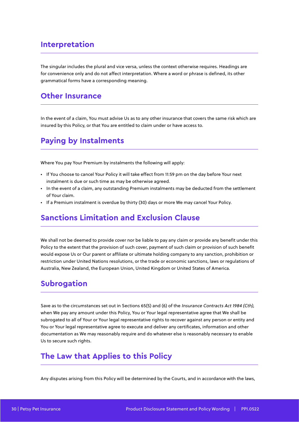### **Interpretation**

The singular includes the plural and vice versa, unless the context otherwise requires. Headings are for convenience only and do not affect interpretation. Where a word or phrase is defined, its other grammatical forms have a corresponding meaning.

#### **Other Insurance**

In the event of a claim, You must advise Us as to any other insurance that covers the same risk which are insured by this Policy, or that You are entitled to claim under or have access to.

### **Paying by Instalments**

Where You pay Your Premium by instalments the following will apply:

- If You choose to cancel Your Policy it will take effect from 11:59 pm on the day before Your next instalment is due or such time as may be otherwise agreed.
- In the event of a claim, any outstanding Premium instalments may be deducted from the settlement of Your claim.
- If a Premium instalment is overdue by thirty (30) days or more We may cancel Your Policy.

#### **Sanctions Limitation and Exclusion Clause**

We shall not be deemed to provide cover nor be liable to pay any claim or provide any benefit under this Policy to the extent that the provision of such cover, payment of such claim or provision of such benefit would expose Us or Our parent or affiliate or ultimate holding company to any sanction, prohibition or restriction under United Nations resolutions, or the trade or economic sanctions, laws or regulations of Australia, New Zealand, the European Union, United Kingdom or United States of America.

#### **Subrogation**

Save as to the circumstances set out in Sections 65(5) and (6) of the Insurance Contracts Act 1984 (Cth), when We pay any amount under this Policy, You or Your legal representative agree that We shall be subrogated to all of Your or Your legal representative rights to recover against any person or entity and You or Your legal representative agree to execute and deliver any certificates, information and other documentation as We may reasonably require and do whatever else is reasonably necessary to enable Us to secure such rights.

#### **The Law that Applies to this Policy**

Any disputes arising from this Policy will be determined by the Courts, and in accordance with the laws,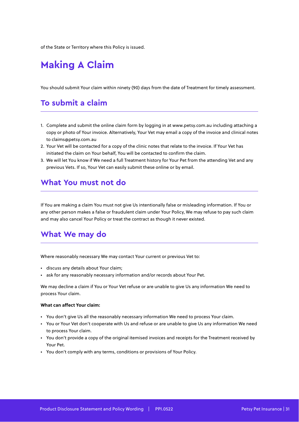of the State or Territory where this Policy is issued.

## **Making A Claim**

You should submit Your claim within ninety (90) days from the date of Treatment for timely assessment.

#### **To submit a claim**

- 1. Complete and submit the online claim form by logging in at www.petsy.com.au including attaching a copy or photo of Your invoice. Alternatively, Your Vet may email a copy of the invoice and clinical notes to claims@petsy.com.au
- 2. Your Vet will be contacted for a copy of the clinic notes that relate to the invoice. If Your Vet has initiated the claim on Your behalf, You will be contacted to confirm the claim.
- 3. We will let You know if We need a full Treatment history for Your Pet from the attending Vet and any previous Vets. If so, Your Vet can easily submit these online or by email.

#### **What You must not do**

If You are making a claim You must not give Us intentionally false or misleading information. If You or any other person makes a false or fraudulent claim under Your Policy, We may refuse to pay such claim and may also cancel Your Policy or treat the contract as though it never existed.

#### **What We may do**

Where reasonably necessary We may contact Your current or previous Vet to:

- discuss any details about Your claim;
- ask for any reasonably necessary information and/or records about Your Pet.

We may decline a claim if You or Your Vet refuse or are unable to give Us any information We need to process Your claim.

#### **What can affect Your claim:**

- You don't give Us all the reasonably necessary information We need to process Your claim.
- You or Your Vet don't cooperate with Us and refuse or are unable to give Us any information We need to process Your claim.
- You don't provide a copy of the original itemised invoices and receipts for the Treatment received by Your Pet.
- You don't comply with any terms, conditions or provisions of Your Policy.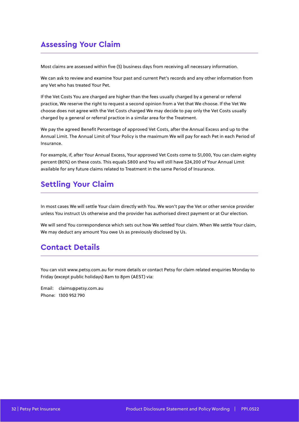## **Assessing Your Claim**

Most claims are assessed within five (5) business days from receiving all necessary information.

We can ask to review and examine Your past and current Pet's records and any other information from any Vet who has treated Your Pet.

If the Vet Costs You are charged are higher than the fees usually charged by a general or referral practice, We reserve the right to request a second opinion from a Vet that We choose. If the Vet We choose does not agree with the Vet Costs charged We may decide to pay only the Vet Costs usually charged by a general or referral practice in a similar area for the Treatment.

We pay the agreed Benefit Percentage of approved Vet Costs, after the Annual Excess and up to the Annual Limit. The Annual Limit of Your Policy is the maximum We will pay for each Pet in each Period of Insurance.

For example, if, after Your Annual Excess, Your approved Vet Costs come to \$1,000, You can claim eighty percent (80%) on these costs. This equals \$800 and You will still have \$24,200 of Your Annual Limit available for any future claims related to Treatment in the same Period of Insurance.

## **Settling Your Claim**

In most cases We will settle Your claim directly with You. We won't pay the Vet or other service provider unless You instruct Us otherwise and the provider has authorised direct payment or at Our election.

We will send You correspondence which sets out how We settled Your claim. When We settle Your claim, We may deduct any amount You owe Us as previously disclosed by Us.

#### **Contact Details**

You can visit www.petsy.com.au for more details or contact Petsy for claim related enquiries Monday to Friday (except public holidays) 8am to 8pm (AEST) via:

Email: claims@petsy.com.au Phone: 1300 952 790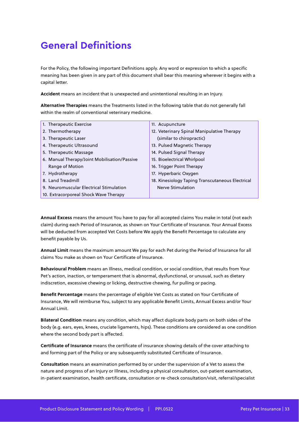## **General Definitions**

For the Policy, the following important Definitions apply. Any word or expression to which a specific meaning has been given in any part of this document shall bear this meaning wherever it begins with a capital letter.

**Accident** means an incident that is unexpected and unintentional resulting in an Injury.

**Alternative Therapies** means the Treatments listed in the following table that do not generally fall within the realm of conventional veterinary medicine.

| 1. Therapeutic Exercise                      | 11. Acupuncture                                  |
|----------------------------------------------|--------------------------------------------------|
| 2. Thermotherapy                             | 12. Veterinary Spinal Manipulative Therapy       |
| 3. Therapeutic Laser                         | (similar to chiropractic)                        |
| 4. Therapeutic Ultrasound                    | 13. Pulsed Magnetic Therapy                      |
| 5. Therapeutic Massage                       | 14. Pulsed Signal Therapy                        |
| 6. Manual Therapy/Joint Mobilisation/Passive | 15. Bioelectrical Whirlpool                      |
| Range of Motion                              | 16. Trigger Point Therapy                        |
| 7. Hydrotherapy                              | 17. Hyperbaric Oxygen                            |
| 8. Land Treadmill                            | 18. Kinesiology Taping Transcutaneous Electrical |
| 9. Neuromuscular Electrical Stimulation      | Nerve Stimulation                                |
| 10. Extracorporeal Shock Wave Therapy        |                                                  |

**Annual Excess** means the amount You have to pay for all accepted claims You make in total (not each claim) during each Period of Insurance, as shown on Your Certificate of Insurance. Your Annual Excess will be deducted from accepted Vet Costs before We apply the Benefit Percentage to calculate any benefit payable by Us.

**Annual Limit** means the maximum amount We pay for each Pet during the Period of Insurance for all claims You make as shown on Your Certificate of Insurance.

**Behavioural Problem** means an Illness, medical condition, or social condition, that results from Your Pet's action, inaction, or temperament that is abnormal, dysfunctional, or unusual, such as dietary indiscretion, excessive chewing or licking, destructive chewing, fur pulling or pacing.

**Benefit Percentage** means the percentage of eligible Vet Costs as stated on Your Certificate of Insurance, We will reimburse You, subject to any applicable Benefit Limits, Annual Excess and/or Your Annual Limit.

**Bilateral Condition** means any condition, which may affect duplicate body parts on both sides of the body (e.g. ears, eyes, knees, cruciate ligaments, hips). These conditions are considered as one condition where the second body part is affected.

**Certificate of Insurance** means the certificate of insurance showing details of the cover attaching to and forming part of the Policy or any subsequently substituted Certificate of Insurance.

**Consultation** means an examination performed by or under the supervision of a Vet to assess the nature and progress of an Injury or Illness, including a physical consultation, out-patient examination, in-patient examination, health certificate, consultation or re-check consultation/visit, referral/specialist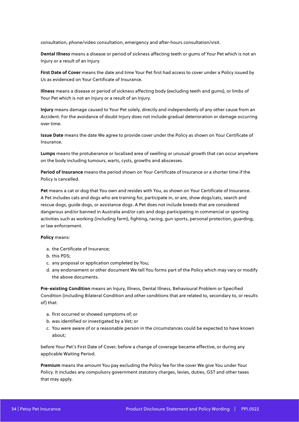consultation, phone/video consultation, emergency and after-hours consultation/visit.

**Dental Illness** means a disease or period of sickness affecting teeth or gums of Your Pet which is not an Injury or a result of an Injury.

**First Date of Cover** means the date and time Your Pet first had access to cover under a Policy issued by Us as evidenced on Your Certificate of Insurance.

**Illness** means a disease or period of sickness affecting body (excluding teeth and gums), or limbs of Your Pet which is not an Injury or a result of an Injury.

**Injury** means damage caused to Your Pet solely, directly and independently of any other cause from an Accident. For the avoidance of doubt Injury does not include gradual deterioration or damage occurring over time.

**Issue Date** means the date We agree to provide cover under the Policy as shown on Your Certificate of Insurance.

**Lumps** means the protuberance or localised area of swelling or unusual growth that can occur anywhere on the body including tumours, warts, cysts, growths and abscesses.

**Period of Insurance** means the period shown on Your Certificate of Insurance or a shorter time if the Policy is cancelled.

**Pet** means a cat or dog that You own and resides with You, as shown on Your Certificate of Insurance. A Pet includes cats and dogs who are training for, participate in, or are, show dogs/cats, search and rescue dogs, guide dogs, or assistance dogs. A Pet does not include breeds that are considered dangerous and/or banned in Australia and/or cats and dogs participating in commercial or sporting activities such as working (including farm), fighting, racing, gun sports, personal protection, guarding, or law enforcement.

#### **Policy** means:

- a. the Certificate of Insurance;
- b. this PDS;
- c. any proposal or application completed by You;
- d. any endorsement or other document We tell You forms part of the Policy which may vary or modify the above documents.

**Pre-existing Condition** means an Injury, Illness, Dental Illness, Behavioural Problem or Specified Condition (including Bilateral Condition and other conditions that are related to, secondary to, or results of) that:

- a. first occurred or showed symptoms of; or
- b. was identified or investigated by a Vet; or
- c. You were aware of or a reasonable person in the circumstances could be expected to have known about;

before Your Pet's First Date of Cover, before a change of coverage became effective, or during any applicable Waiting Period.

**Premium** means the amount You pay excluding the Policy fee for the cover We give You under Your Policy. It includes any compulsory government statutory charges, levies, duties, GST and other taxes that may apply.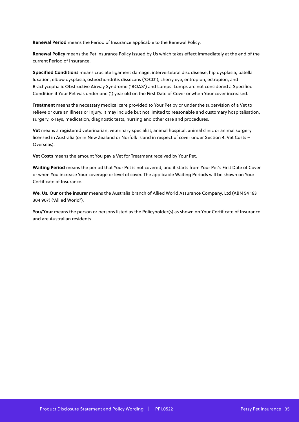**Renewal Period** means the Period of Insurance applicable to the Renewal Policy.

**Renewal Policy** means the Pet insurance Policy issued by Us which takes effect immediately at the end of the current Period of Insurance.

**Specified Conditions** means cruciate ligament damage, intervertebral disc disease, hip dysplasia, patella luxation, elbow dysplasia, osteochondritis dissecans ('OCD'), cherry eye, entropion, ectropion, and Brachycephalic Obstructive Airway Syndrome ('BOAS') and Lumps. Lumps are not considered a Specified Condition if Your Pet was under one (1) year old on the First Date of Cover or when Your cover increased.

**Treatment** means the necessary medical care provided to Your Pet by or under the supervision of a Vet to relieve or cure an Illness or Injury. It may include but not limited to reasonable and customary hospitalisation, surgery, x-rays, medication, diagnostic tests, nursing and other care and procedures.

**Vet** means a registered veterinarian, veterinary specialist, animal hospital, animal clinic or animal surgery licensed in Australia (or in New Zealand or Norfolk Island in respect of cover under Section 4: Vet Costs – Overseas).

**Vet Costs** means the amount You pay a Vet for Treatment received by Your Pet.

**Waiting Period** means the period that Your Pet is not covered, and it starts from Your Pet's First Date of Cover or when You increase Your coverage or level of cover. The applicable Waiting Periods will be shown on Your Certificate of Insurance.

**We, Us, Our or the insurer** means the Australia branch of Allied World Assurance Company, Ltd (ABN 54 163 304 907) ('Allied World').

You/Your means the person or persons listed as the Policyholder(s) as shown on Your Certificate of Insurance and are Australian residents.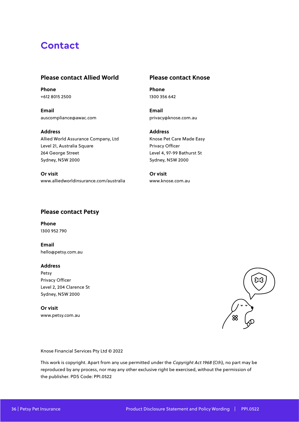## **Contact**

#### **Please contact Allied World**

**Phone** +612 8015 2500

**Email** auscompliance@awac.com

#### **Please contact Knose**

**Phone** 1300 356 642

**Email** privacy@knose.com.au

**Address** Allied World Assurance Company, Ltd Level 21, Australia Square 264 George Street Sydney, NSW 2000

**Or visit** www.alliedworldinsurance.com/australia **Address** Knose Pet Care Made Easy Privacy Officer Level 4, 97-99 Bathurst St Sydney, NSW 2000

**Or visit** www.knose.com.au

#### **Please contact Petsy**

**Phone** 1300 952 790

**Email** hello@petsy.com.au

#### **Address**

Petsy Privacy Officer Level 2, 204 Clarence St Sydney, NSW 2000

**Or visit** www.petsy.com.au



Knose Financial Services Pty Ltd © 2022

This work is copyright. Apart from any use permitted under the Copyright Act 1968 (Cth), no part may be reproduced by any process, nor may any other exclusive right be exercised, without the permission of the publisher. PDS Code: PPI.0522